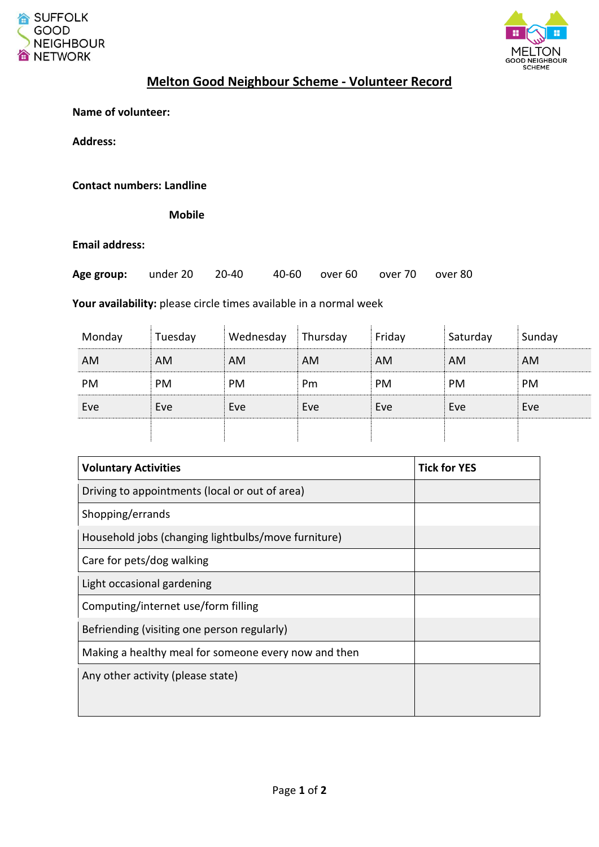



## **Melton Good Neighbour Scheme - Volunteer Record**

**Name of volunteer:**

**Address:**

**Contact numbers: Landline**

 **Mobile**

**Email address:**

| Age group: under 20 20-40 |  |  |  | 40-60 over 60 over 70 over 80 |  |  |
|---------------------------|--|--|--|-------------------------------|--|--|
|---------------------------|--|--|--|-------------------------------|--|--|

**Your availability:** please circle times available in a normal week

| Monday | Tuesday   | Wednesday | Thursday | Friday    | Saturday  | Sunday |
|--------|-----------|-----------|----------|-----------|-----------|--------|
| AM     | AM        | <b>AM</b> | AM       | <b>AM</b> | <b>AM</b> | AM     |
| PM     | <b>PM</b> | <b>PM</b> | Pm       | <b>PM</b> | PM        | PM     |
| Eve    | Eve       | Eve       | Eve      | Eve       | Eve       | Eve    |
|        |           |           |          |           |           |        |

| <b>Voluntary Activities</b>                          | <b>Tick for YES</b> |
|------------------------------------------------------|---------------------|
| Driving to appointments (local or out of area)       |                     |
| Shopping/errands                                     |                     |
| Household jobs (changing lightbulbs/move furniture)  |                     |
| Care for pets/dog walking                            |                     |
| Light occasional gardening                           |                     |
| Computing/internet use/form filling                  |                     |
| Befriending (visiting one person regularly)          |                     |
| Making a healthy meal for someone every now and then |                     |
| Any other activity (please state)                    |                     |